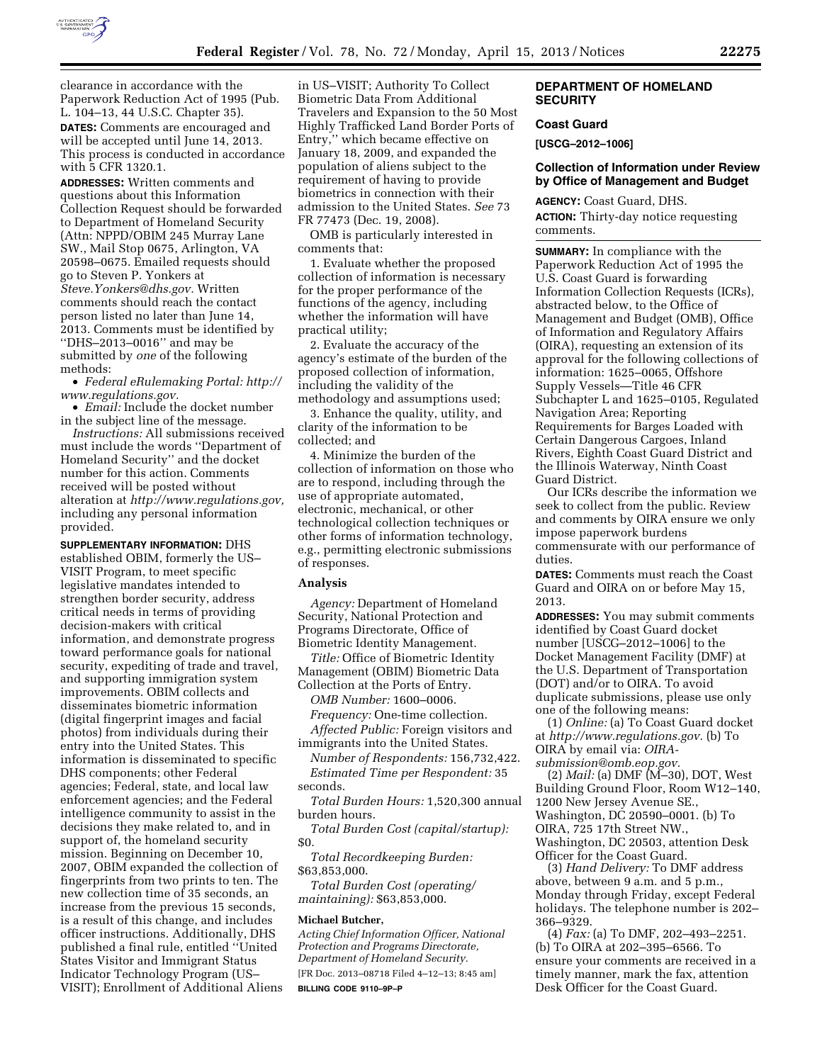

with 5 CFR 1320.1.

**ADDRESSES:** Written comments and questions about this Information Collection Request should be forwarded to Department of Homeland Security (Attn: NPPD/OBIM 245 Murray Lane SW., Mail Stop 0675, Arlington, VA 20598–0675. Emailed requests should go to Steven P. Yonkers at *[Steve.Yonkers@dhs.gov.](mailto:Steve.Yonkers@dhs.gov)* Written comments should reach the contact person listed no later than June 14, 2013. Comments must be identified by ''DHS–2013–0016'' and may be submitted by *one* of the following methods:

• *Federal eRulemaking Portal: [http://](http://www.regulations.gov)  [www.regulations.gov.](http://www.regulations.gov)* 

• *Email:* Include the docket number in the subject line of the message.

*Instructions:* All submissions received must include the words ''Department of Homeland Security'' and the docket number for this action. Comments received will be posted without alteration at *[http://www.regulations.gov,](http://www.regulations.gov)*  including any personal information provided.

**SUPPLEMENTARY INFORMATION:** DHS established OBIM, formerly the US– VISIT Program, to meet specific legislative mandates intended to strengthen border security, address critical needs in terms of providing decision-makers with critical information, and demonstrate progress toward performance goals for national security, expediting of trade and travel, and supporting immigration system improvements. OBIM collects and disseminates biometric information (digital fingerprint images and facial photos) from individuals during their entry into the United States. This information is disseminated to specific DHS components; other Federal agencies; Federal, state, and local law enforcement agencies; and the Federal intelligence community to assist in the decisions they make related to, and in support of, the homeland security mission. Beginning on December 10, 2007, OBIM expanded the collection of fingerprints from two prints to ten. The new collection time of 35 seconds, an increase from the previous 15 seconds, is a result of this change, and includes officer instructions. Additionally, DHS published a final rule, entitled ''United States Visitor and Immigrant Status Indicator Technology Program (US– VISIT); Enrollment of Additional Aliens

in US–VISIT; Authority To Collect Biometric Data From Additional Travelers and Expansion to the 50 Most Highly Trafficked Land Border Ports of Entry,'' which became effective on January 18, 2009, and expanded the population of aliens subject to the requirement of having to provide biometrics in connection with their admission to the United States. *See* 73 FR 77473 (Dec. 19, 2008).

OMB is particularly interested in comments that:

1. Evaluate whether the proposed collection of information is necessary for the proper performance of the functions of the agency, including whether the information will have practical utility;

2. Evaluate the accuracy of the agency's estimate of the burden of the proposed collection of information, including the validity of the methodology and assumptions used;

3. Enhance the quality, utility, and clarity of the information to be collected; and

4. Minimize the burden of the collection of information on those who are to respond, including through the use of appropriate automated, electronic, mechanical, or other technological collection techniques or other forms of information technology, e.g., permitting electronic submissions of responses.

#### **Analysis**

*Agency:* Department of Homeland Security, National Protection and Programs Directorate, Office of Biometric Identity Management.

*Title:* Office of Biometric Identity Management (OBIM) Biometric Data Collection at the Ports of Entry.

*OMB Number:* 1600–0006.

*Frequency:* One-time collection. *Affected Public:* Foreign visitors and

immigrants into the United States.

*Number of Respondents:* 156,732,422. *Estimated Time per Respondent:* 35 seconds.

*Total Burden Hours:* 1,520,300 annual burden hours.

*Total Burden Cost (capital/startup):*  \$0.

*Total Recordkeeping Burden:*  \$63,853,000.

*Total Burden Cost (operating/ maintaining):* \$63,853,000.

#### **Michael Butcher,**

*Acting Chief Information Officer, National Protection and Programs Directorate, Department of Homeland Security.* 

[FR Doc. 2013–08718 Filed 4–12–13; 8:45 am] **BILLING CODE 9110–9P–P** 

# **DEPARTMENT OF HOMELAND SECURITY**

# **Coast Guard**

**[USCG–2012–1006]** 

## **Collection of Information under Review by Office of Management and Budget**

**AGENCY:** Coast Guard, DHS. **ACTION:** Thirty-day notice requesting comments.

**SUMMARY:** In compliance with the Paperwork Reduction Act of 1995 the U.S. Coast Guard is forwarding Information Collection Requests (ICRs), abstracted below, to the Office of Management and Budget (OMB), Office of Information and Regulatory Affairs (OIRA), requesting an extension of its approval for the following collections of information: 1625–0065, Offshore Supply Vessels—Title 46 CFR Subchapter L and 1625–0105, Regulated Navigation Area; Reporting Requirements for Barges Loaded with Certain Dangerous Cargoes, Inland Rivers, Eighth Coast Guard District and the Illinois Waterway, Ninth Coast Guard District.

Our ICRs describe the information we seek to collect from the public. Review and comments by OIRA ensure we only impose paperwork burdens commensurate with our performance of duties.

**DATES:** Comments must reach the Coast Guard and OIRA on or before May 15, 2013.

**ADDRESSES:** You may submit comments identified by Coast Guard docket number [USCG–2012–1006] to the Docket Management Facility (DMF) at the U.S. Department of Transportation (DOT) and/or to OIRA. To avoid duplicate submissions, please use only one of the following means:

(1) *Online:* (a) To Coast Guard docket at *[http://www.regulations.gov.](http://www.regulations.gov)* (b) To OIRA by email via: *[OIRA](mailto:OIRA-submission@omb.eop.gov)[submission@omb.eop.gov.](mailto:OIRA-submission@omb.eop.gov)* 

(2) *Mail:* (a) DMF (M–30), DOT, West Building Ground Floor, Room W12–140, 1200 New Jersey Avenue SE., Washington, DC 20590–0001. (b) To OIRA, 725 17th Street NW., Washington, DC 20503, attention Desk Officer for the Coast Guard.

(3) *Hand Delivery:* To DMF address above, between 9 a.m. and 5 p.m., Monday through Friday, except Federal holidays. The telephone number is 202– 366–9329.

(4) *Fax:* (a) To DMF, 202–493–2251. (b) To OIRA at 202–395–6566. To ensure your comments are received in a timely manner, mark the fax, attention Desk Officer for the Coast Guard.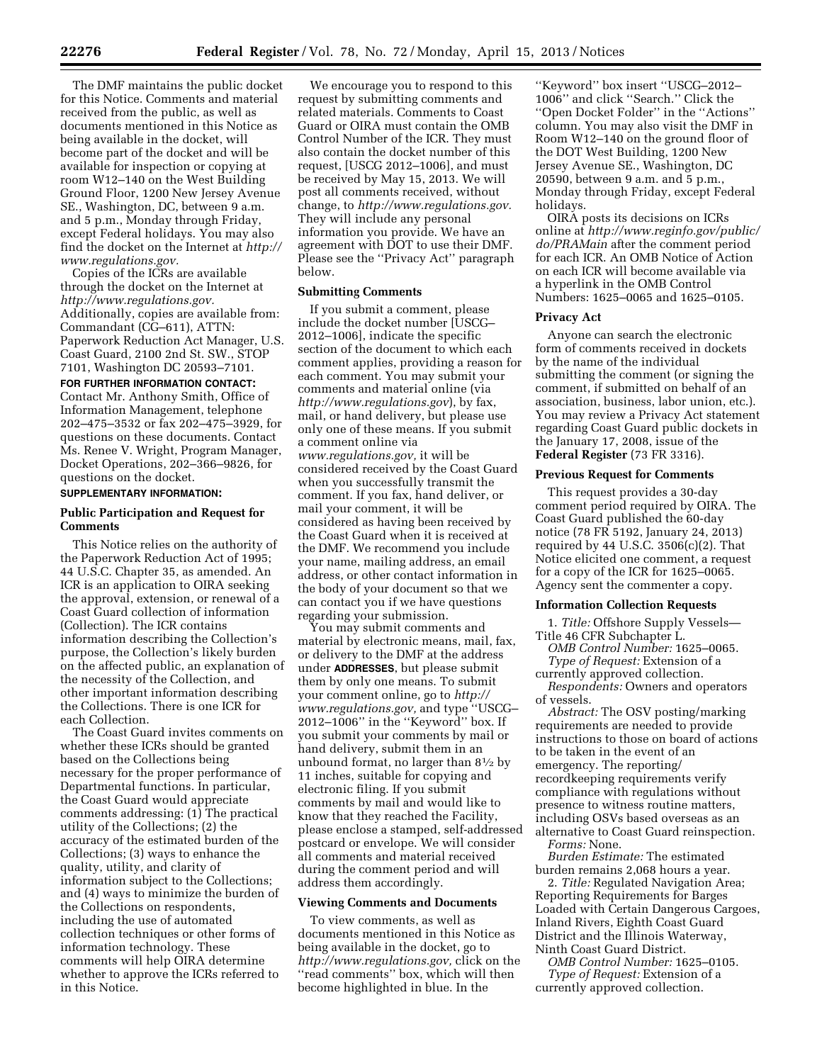The DMF maintains the public docket for this Notice. Comments and material received from the public, as well as documents mentioned in this Notice as being available in the docket, will become part of the docket and will be available for inspection or copying at room W12–140 on the West Building Ground Floor, 1200 New Jersey Avenue SE., Washington, DC, between 9 a.m. and 5 p.m., Monday through Friday, except Federal holidays. You may also find the docket on the Internet at *[http://](http://www.regulations.gov) [www.regulations.gov.](http://www.regulations.gov)* 

Copies of the ICRs are available through the docket on the Internet at *[http://www.regulations.gov.](http://www.regulations.gov)*  Additionally, copies are available from: Commandant (CG–611), ATTN: Paperwork Reduction Act Manager, U.S. Coast Guard, 2100 2nd St. SW., STOP 7101, Washington DC 20593–7101.

## **FOR FURTHER INFORMATION CONTACT:**

Contact Mr. Anthony Smith, Office of Information Management, telephone 202–475–3532 or fax 202–475–3929, for questions on these documents. Contact Ms. Renee V. Wright, Program Manager, Docket Operations, 202–366–9826, for questions on the docket.

# **SUPPLEMENTARY INFORMATION:**

## **Public Participation and Request for Comments**

This Notice relies on the authority of the Paperwork Reduction Act of 1995; 44 U.S.C. Chapter 35, as amended. An ICR is an application to OIRA seeking the approval, extension, or renewal of a Coast Guard collection of information (Collection). The ICR contains information describing the Collection's purpose, the Collection's likely burden on the affected public, an explanation of the necessity of the Collection, and other important information describing the Collections. There is one ICR for each Collection.

The Coast Guard invites comments on whether these ICRs should be granted based on the Collections being necessary for the proper performance of Departmental functions. In particular, the Coast Guard would appreciate comments addressing: (1) The practical utility of the Collections; (2) the accuracy of the estimated burden of the Collections; (3) ways to enhance the quality, utility, and clarity of information subject to the Collections; and (4) ways to minimize the burden of the Collections on respondents, including the use of automated collection techniques or other forms of information technology. These comments will help OIRA determine whether to approve the ICRs referred to in this Notice.

We encourage you to respond to this request by submitting comments and related materials. Comments to Coast Guard or OIRA must contain the OMB Control Number of the ICR. They must also contain the docket number of this request, [USCG 2012–1006], and must be received by May 15, 2013. We will post all comments received, without change, to *[http://www.regulations.gov.](http://www.regulations.gov)*  They will include any personal information you provide. We have an agreement with DOT to use their DMF. Please see the ''Privacy Act'' paragraph below.

### **Submitting Comments**

If you submit a comment, please include the docket number [USCG– 2012–1006], indicate the specific section of the document to which each comment applies, providing a reason for each comment. You may submit your comments and material online (via *<http://www.regulations.gov>*), by fax, mail, or hand delivery, but please use only one of these means. If you submit a comment online via *[www.regulations.gov,](http://www.regulations.gov)* it will be considered received by the Coast Guard when you successfully transmit the comment. If you fax, hand deliver, or mail your comment, it will be considered as having been received by the Coast Guard when it is received at the DMF. We recommend you include your name, mailing address, an email address, or other contact information in the body of your document so that we can contact you if we have questions regarding your submission.

You may submit comments and material by electronic means, mail, fax, or delivery to the DMF at the address under **ADDRESSES**, but please submit them by only one means. To submit your comment online, go to *[http://](http://www.regulations.gov) [www.regulations.gov,](http://www.regulations.gov)* and type ''USCG– 2012–1006'' in the ''Keyword'' box. If you submit your comments by mail or hand delivery, submit them in an unbound format, no larger than  $8\frac{1}{2}$  by 11 inches, suitable for copying and electronic filing. If you submit comments by mail and would like to know that they reached the Facility, please enclose a stamped, self-addressed postcard or envelope. We will consider all comments and material received during the comment period and will address them accordingly.

### **Viewing Comments and Documents**

To view comments, as well as documents mentioned in this Notice as being available in the docket, go to *[http://www.regulations.gov,](http://www.regulations.gov)* click on the ''read comments'' box, which will then become highlighted in blue. In the

''Keyword'' box insert ''USCG–2012– 1006'' and click ''Search.'' Click the ''Open Docket Folder'' in the ''Actions'' column. You may also visit the DMF in Room W12–140 on the ground floor of the DOT West Building, 1200 New Jersey Avenue SE., Washington, DC 20590, between 9 a.m. and 5 p.m., Monday through Friday, except Federal holidays.

OIRA posts its decisions on ICRs online at *[http://www.reginfo.gov/public/](http://www.reginfo.gov/public/do/PRAMain) [do/PRAMain](http://www.reginfo.gov/public/do/PRAMain)* after the comment period for each ICR. An OMB Notice of Action on each ICR will become available via a hyperlink in the OMB Control Numbers: 1625–0065 and 1625–0105.

#### **Privacy Act**

Anyone can search the electronic form of comments received in dockets by the name of the individual submitting the comment (or signing the comment, if submitted on behalf of an association, business, labor union, etc.). You may review a Privacy Act statement regarding Coast Guard public dockets in the January 17, 2008, issue of the **Federal Register** (73 FR 3316).

#### **Previous Request for Comments**

This request provides a 30-day comment period required by OIRA. The Coast Guard published the 60-day notice (78 FR 5192, January 24, 2013) required by 44 U.S.C. 3506(c)(2). That Notice elicited one comment, a request for a copy of the ICR for 1625–0065. Agency sent the commenter a copy.

### **Information Collection Requests**

1. *Title:* Offshore Supply Vessels— Title 46 CFR Subchapter L.

*OMB Control Number:* 1625–0065. *Type of Request:* Extension of a

currently approved collection. *Respondents:* Owners and operators

of vessels.

*Abstract:* The OSV posting/marking requirements are needed to provide instructions to those on board of actions to be taken in the event of an emergency. The reporting/ recordkeeping requirements verify compliance with regulations without presence to witness routine matters, including OSVs based overseas as an alternative to Coast Guard reinspection.

*Forms:* None.

*Burden Estimate:* The estimated burden remains 2,068 hours a year.

2. *Title:* Regulated Navigation Area; Reporting Requirements for Barges Loaded with Certain Dangerous Cargoes, Inland Rivers, Eighth Coast Guard District and the Illinois Waterway, Ninth Coast Guard District.

*OMB Control Number:* 1625–0105. *Type of Request:* Extension of a currently approved collection.